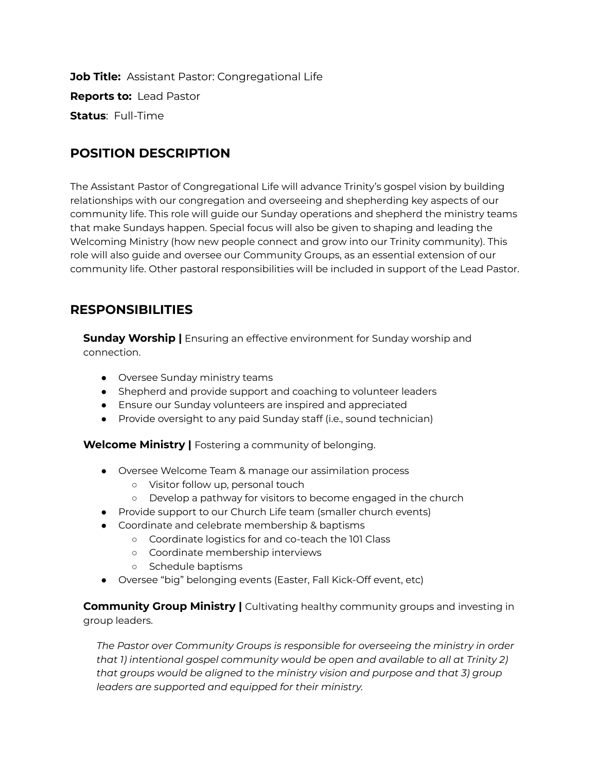**Job Title:** Assistant Pastor: Congregational Life **Reports to:** Lead Pastor **Status**: Full-Time

## **POSITION DESCRIPTION**

The Assistant Pastor of Congregational Life will advance Trinity's gospel vision by building relationships with our congregation and overseeing and shepherding key aspects of our community life. This role will guide our Sunday operations and shepherd the ministry teams that make Sundays happen. Special focus will also be given to shaping and leading the Welcoming Ministry (how new people connect and grow into our Trinity community). This role will also guide and oversee our Community Groups, as an essential extension of our community life. Other pastoral responsibilities will be included in support of the Lead Pastor.

## **RESPONSIBILITIES**

**Sunday Worship |** Ensuring an effective environment for Sunday worship and connection.

- Oversee Sunday ministry teams
- Shepherd and provide support and coaching to volunteer leaders
- Ensure our Sunday volunteers are inspired and appreciated
- Provide oversight to any paid Sunday staff (i.e., sound technician)

**Welcome Ministry |** Fostering a community of belonging.

- Oversee Welcome Team & manage our assimilation process
	- Visitor follow up, personal touch
	- Develop a pathway for visitors to become engaged in the church
- Provide support to our Church Life team (smaller church events)
- Coordinate and celebrate membership & baptisms
	- Coordinate logistics for and co-teach the 101 Class
	- Coordinate membership interviews
	- Schedule baptisms
- Oversee "big" belonging events (Easter, Fall Kick-Off event, etc)

**Community Group Ministry |** Cultivating healthy community groups and investing in group leaders.

*The Pastor over Community Groups is responsible for overseeing the ministry in order that 1) intentional gospel community would be open and available to all at Trinity 2) that groups would be aligned to the ministry vision and purpose and that 3) group leaders are supported and equipped for their ministry.*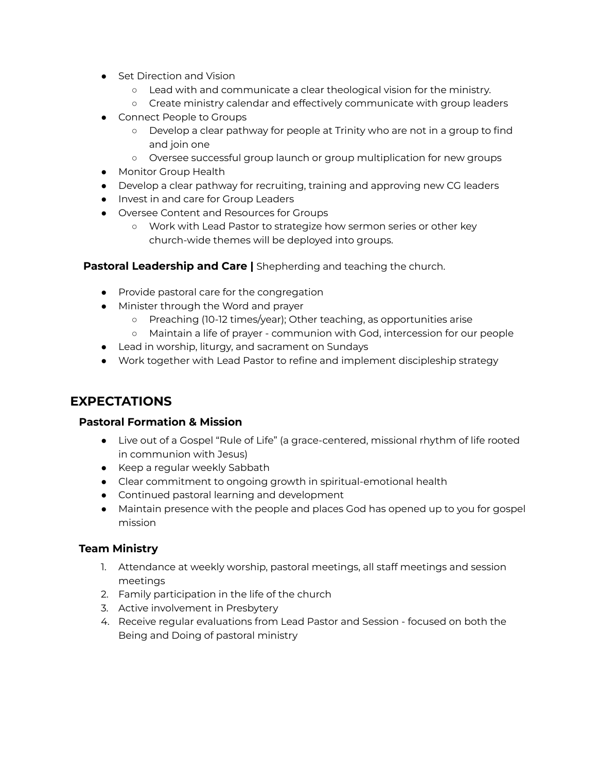- **Set Direction and Vision** 
	- Lead with and communicate a clear theological vision for the ministry.
	- Create ministry calendar and effectively communicate with group leaders
- Connect People to Groups
	- Develop a clear pathway for people at Trinity who are not in a group to find and join one
	- Oversee successful group launch or group multiplication for new groups
- Monitor Group Health
- Develop a clear pathway for recruiting, training and approving new CG leaders
- Invest in and care for Group Leaders
- Oversee Content and Resources for Groups
	- Work with Lead Pastor to strategize how sermon series or other key church-wide themes will be deployed into groups.

#### **Pastoral Leadership and Care |** Shepherding and teaching the church.

- Provide pastoral care for the congregation
- Minister through the Word and prayer
	- Preaching (10-12 times/year); Other teaching, as opportunities arise
	- Maintain a life of prayer communion with God, intercession for our people
- Lead in worship, liturgy, and sacrament on Sundays
- Work together with Lead Pastor to refine and implement discipleship strategy

#### **EXPECTATIONS**

#### **Pastoral Formation & Mission**

- Live out of a Gospel "Rule of Life" (a grace-centered, missional rhythm of life rooted in communion with Jesus)
- Keep a regular weekly Sabbath
- Clear commitment to ongoing growth in spiritual-emotional health
- Continued pastoral learning and development
- Maintain presence with the people and places God has opened up to you for gospel mission

#### **Team Ministry**

- 1. Attendance at weekly worship, pastoral meetings, all staff meetings and session meetings
- 2. Family participation in the life of the church
- 3. Active involvement in Presbytery
- 4. Receive regular evaluations from Lead Pastor and Session focused on both the Being and Doing of pastoral ministry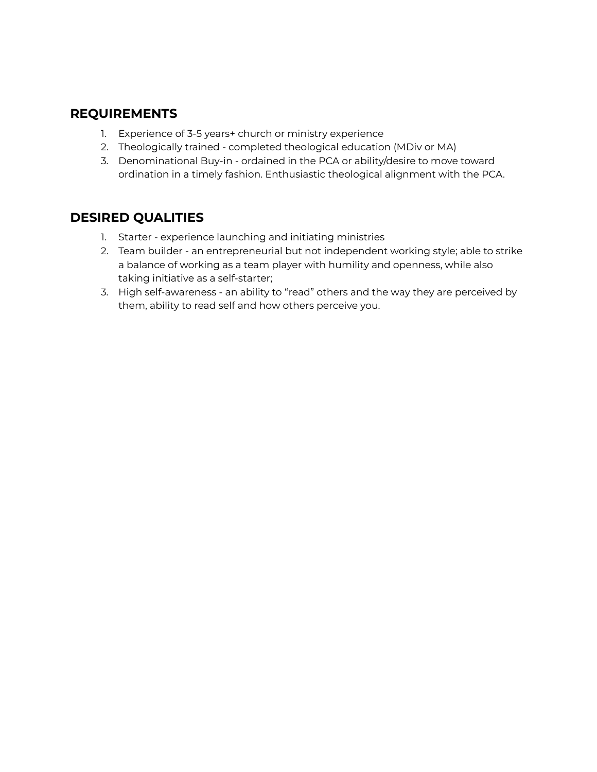### **REQUIREMENTS**

- 1. Experience of 3-5 years+ church or ministry experience
- 2. Theologically trained completed theological education (MDiv or MA)
- 3. Denominational Buy-in ordained in the PCA or ability/desire to move toward ordination in a timely fashion. Enthusiastic theological alignment with the PCA.

### **DESIRED QUALITIES**

- 1. Starter experience launching and initiating ministries
- 2. Team builder an entrepreneurial but not independent working style; able to strike a balance of working as a team player with humility and openness, while also taking initiative as a self-starter;
- 3. High self-awareness an ability to "read" others and the way they are perceived by them, ability to read self and how others perceive you.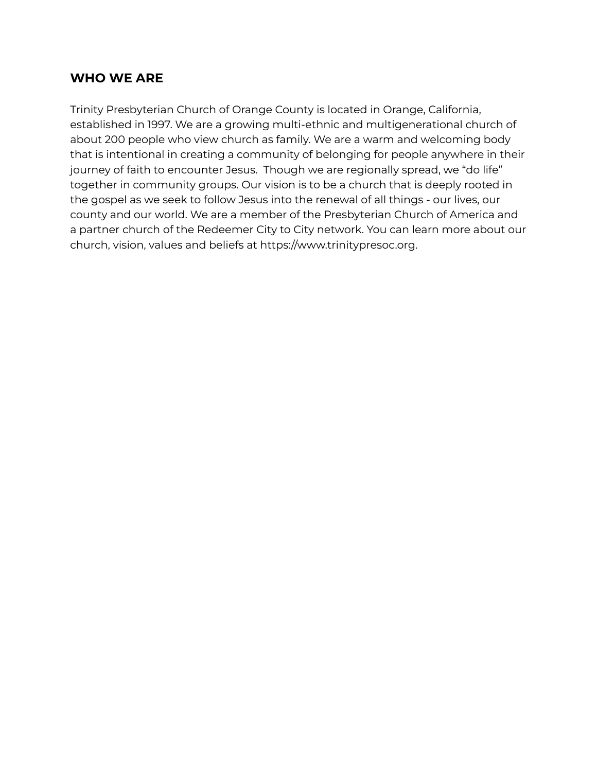### **WHO WE ARE**

Trinity Presbyterian Church of Orange County is located in Orange, California, established in 1997. We are a growing multi-ethnic and multigenerational church of about 200 people who view church as family. We are a warm and welcoming body that is intentional in creating a community of belonging for people anywhere in their journey of faith to encounter Jesus. Though we are regionally spread, we "do life" together in community groups. Our vision is to be a church that is deeply rooted in the gospel as we seek to follow Jesus into the renewal of all things - our lives, our county and our world. We are a member of the Presbyterian Church of America and a partner church of the Redeemer City to City network. You can learn more about our church, vision, values and beliefs at <https://www.trinitypresoc.org>.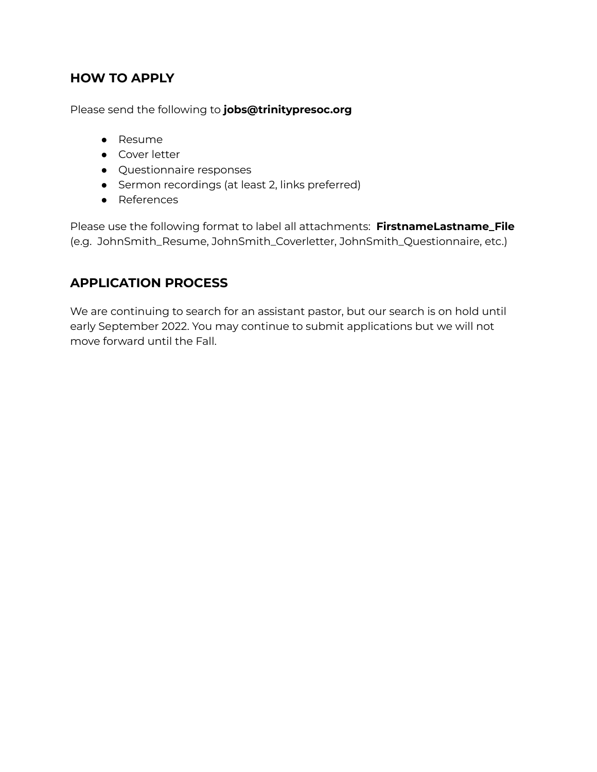## **HOW TO APPLY**

Please send the following to **jobs@trinitypresoc.org**

- Resume
- Cover letter
- Questionnaire responses
- Sermon recordings (at least 2, links preferred)
- References

Please use the following format to label all attachments: **FirstnameLastname\_File** (e.g. JohnSmith\_Resume, JohnSmith\_Coverletter, JohnSmith\_Questionnaire, etc.)

## **APPLICATION PROCESS**

We are continuing to search for an assistant pastor, but our search is on hold until early September 2022. You may continue to submit applications but we will not move forward until the Fall.